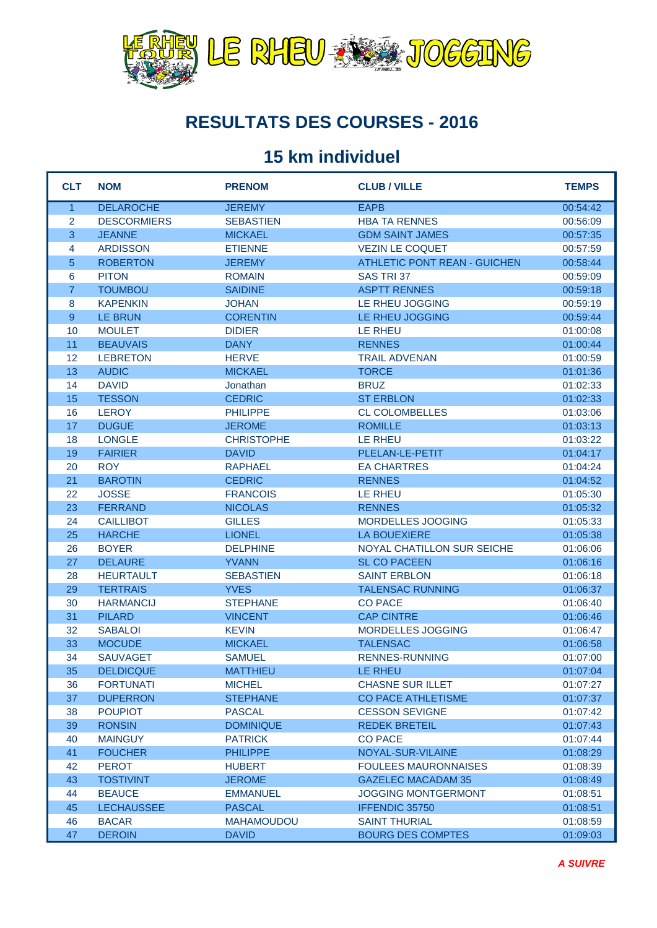

#### **RESULTATS DES COURSES - 2016**

#### **15 km individuel**

| <b>CLT</b>     | <b>NOM</b>         | <b>PRENOM</b>     | <b>CLUB / VILLE</b>                 | <b>TEMPS</b> |
|----------------|--------------------|-------------------|-------------------------------------|--------------|
| $\overline{1}$ | <b>DELAROCHE</b>   | <b>JEREMY</b>     | <b>EAPB</b>                         | 00:54:42     |
| 2              | <b>DESCORMIERS</b> | <b>SEBASTIEN</b>  | <b>HBA TA RENNES</b>                | 00:56:09     |
| 3              | <b>JEANNE</b>      | <b>MICKAEL</b>    | <b>GDM SAINT JAMES</b>              | 00:57:35     |
| 4              | <b>ARDISSON</b>    | <b>ETIENNE</b>    | <b>VEZIN LE COQUET</b>              | 00:57:59     |
| 5              | <b>ROBERTON</b>    | <b>JEREMY</b>     | <b>ATHLETIC PONT REAN - GUICHEN</b> | 00:58:44     |
| 6              | <b>PITON</b>       | <b>ROMAIN</b>     | SAS TRI 37                          | 00:59:09     |
| $\overline{7}$ | <b>TOUMBOU</b>     | <b>SAIDINE</b>    | <b>ASPTT RENNES</b>                 | 00:59:18     |
| 8              | <b>KAPENKIN</b>    | <b>JOHAN</b>      | LE RHEU JOGGING                     | 00:59:19     |
| 9              | <b>LE BRUN</b>     | <b>CORENTIN</b>   | LE RHEU JOGGING                     | 00:59:44     |
| 10             | <b>MOULET</b>      | <b>DIDIER</b>     | <b>LE RHEU</b>                      | 01:00:08     |
| 11             | <b>BEAUVAIS</b>    | <b>DANY</b>       | <b>RENNES</b>                       | 01:00:44     |
| 12             | <b>LEBRETON</b>    | <b>HERVE</b>      | <b>TRAIL ADVENAN</b>                | 01:00:59     |
| 13             | <b>AUDIC</b>       | <b>MICKAEL</b>    | <b>TORCE</b>                        | 01:01:36     |
| 14             | <b>DAVID</b>       | Jonathan          | <b>BRUZ</b>                         | 01:02:33     |
| 15             | <b>TESSON</b>      | <b>CEDRIC</b>     | <b>ST ERBLON</b>                    | 01:02:33     |
| 16             | <b>LEROY</b>       | <b>PHILIPPE</b>   | <b>CL COLOMBELLES</b>               | 01:03:06     |
| 17             | <b>DUGUE</b>       | <b>JEROME</b>     | <b>ROMILLE</b>                      | 01:03:13     |
| 18             | <b>LONGLE</b>      | <b>CHRISTOPHE</b> | <b>LE RHEU</b>                      | 01:03:22     |
| 19             | <b>FAIRIER</b>     | <b>DAVID</b>      | PLELAN-LE-PETIT                     | 01:04:17     |
| 20             | <b>ROY</b>         | <b>RAPHAEL</b>    | <b>EA CHARTRES</b>                  | 01:04:24     |
| 21             | <b>BAROTIN</b>     | <b>CEDRIC</b>     | <b>RENNES</b>                       | 01:04:52     |
| 22             | <b>JOSSE</b>       | <b>FRANCOIS</b>   | <b>LE RHEU</b>                      | 01:05:30     |
| 23             | <b>FERRAND</b>     | <b>NICOLAS</b>    | <b>RENNES</b>                       | 01:05:32     |
| 24             | <b>CAILLIBOT</b>   | <b>GILLES</b>     | MORDELLES JOOGING                   | 01:05:33     |
| 25             | <b>HARCHE</b>      | <b>LIONEL</b>     | <b>LA BOUEXIERE</b>                 | 01:05:38     |
| 26             | <b>BOYER</b>       | <b>DELPHINE</b>   | NOYAL CHATILLON SUR SEICHE          | 01:06:06     |
| 27             | <b>DELAURE</b>     | <b>YVANN</b>      | <b>SL CO PACEEN</b>                 | 01:06:16     |
| 28             | <b>HEURTAULT</b>   | <b>SEBASTIEN</b>  | <b>SAINT ERBLON</b>                 | 01:06:18     |
| 29             | <b>TERTRAIS</b>    | <b>YVES</b>       | <b>TALENSAC RUNNING</b>             | 01:06:37     |
| 30             | <b>HARMANCIJ</b>   | <b>STEPHANE</b>   | <b>CO PACE</b>                      | 01:06:40     |
| 31             | <b>PILARD</b>      | <b>VINCENT</b>    | <b>CAP CINTRE</b>                   | 01:06:46     |
| 32             | <b>SABALOI</b>     | <b>KEVIN</b>      | MORDELLES JOGGING                   | 01:06:47     |
| 33             | <b>MOCUDE</b>      | <b>MICKAEL</b>    | <b>TALENSAC</b>                     | 01:06:58     |
| 34             | <b>SAUVAGET</b>    | <b>SAMUEL</b>     | <b>RENNES-RUNNING</b>               | 01:07:00     |
| 35             | <b>DELDICQUE</b>   | <b>MATTHIEU</b>   | LE RHEU                             | 01:07:04     |
| 36             | <b>FORTUNATI</b>   | <b>MICHEL</b>     | <b>CHASNE SUR ILLET</b>             | 01:07:27     |
| 37             | <b>DUPERRON</b>    | <b>STEPHANE</b>   | <b>CO PACE ATHLETISME</b>           | 01:07:37     |
| 38             | <b>POUPIOT</b>     | <b>PASCAL</b>     | <b>CESSON SEVIGNE</b>               | 01:07:42     |
| 39             | <b>RONSIN</b>      | <b>DOMINIQUE</b>  | <b>REDEK BRETEIL</b>                | 01:07:43     |
| 40             | <b>MAINGUY</b>     | <b>PATRICK</b>    | <b>CO PACE</b>                      | 01:07:44     |
| 41             | <b>FOUCHER</b>     | <b>PHILIPPE</b>   | NOYAL-SUR-VILAINE                   | 01:08:29     |
| 42             | <b>PEROT</b>       | <b>HUBERT</b>     | <b>FOULEES MAURONNAISES</b>         | 01:08:39     |
| 43             | <b>TOSTIVINT</b>   | <b>JEROME</b>     | <b>GAZELEC MACADAM 35</b>           | 01:08:49     |
| 44             | <b>BEAUCE</b>      | <b>EMMANUEL</b>   | <b>JOGGING MONTGERMONT</b>          | 01:08:51     |
| 45             | <b>LECHAUSSEE</b>  | <b>PASCAL</b>     | IFFENDIC 35750                      | 01:08:51     |
| 46             | <b>BACAR</b>       | <b>MAHAMOUDOU</b> | <b>SAINT THURIAL</b>                | 01:08:59     |
| 47             | <b>DEROIN</b>      | <b>DAVID</b>      | <b>BOURG DES COMPTES</b>            | 01:09:03     |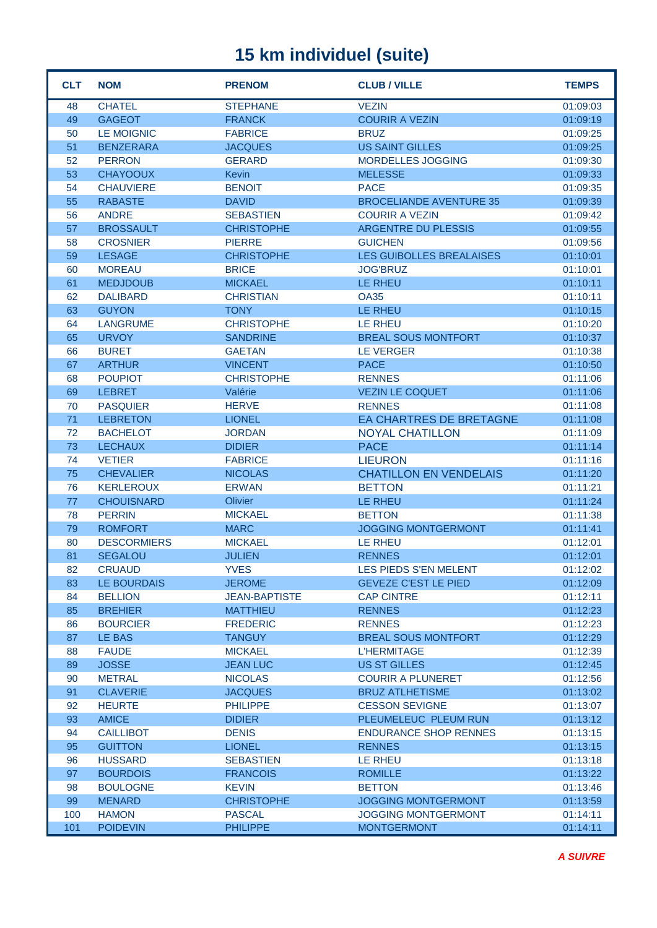| <b>CLT</b> | <b>NOM</b>         | <b>PRENOM</b>        | <b>CLUB / VILLE</b>             | <b>TEMPS</b> |
|------------|--------------------|----------------------|---------------------------------|--------------|
| 48         | <b>CHATEL</b>      | <b>STEPHANE</b>      | <b>VEZIN</b>                    | 01:09:03     |
| 49         | <b>GAGEOT</b>      | <b>FRANCK</b>        | <b>COURIR A VEZIN</b>           | 01:09:19     |
| 50         | <b>LE MOIGNIC</b>  | <b>FABRICE</b>       | <b>BRUZ</b>                     | 01:09:25     |
| 51         | <b>BENZERARA</b>   | <b>JACQUES</b>       | <b>US SAINT GILLES</b>          | 01:09:25     |
| 52         | <b>PERRON</b>      | <b>GERARD</b>        | MORDELLES JOGGING               | 01:09:30     |
| 53         | <b>CHAYOOUX</b>    | <b>Kevin</b>         | <b>MELESSE</b>                  | 01:09:33     |
| 54         | <b>CHAUVIERE</b>   | <b>BENOIT</b>        | <b>PACE</b>                     | 01:09:35     |
| 55         | <b>RABASTE</b>     | <b>DAVID</b>         | <b>BROCELIANDE AVENTURE 35</b>  | 01:09:39     |
| 56         | <b>ANDRE</b>       | <b>SEBASTIEN</b>     | <b>COURIR A VEZIN</b>           | 01:09:42     |
| 57         | <b>BROSSAULT</b>   | <b>CHRISTOPHE</b>    | <b>ARGENTRE DU PLESSIS</b>      | 01:09:55     |
| 58         | <b>CROSNIER</b>    | <b>PIERRE</b>        | <b>GUICHEN</b>                  | 01:09:56     |
| 59         | <b>LESAGE</b>      | <b>CHRISTOPHE</b>    | <b>LES GUIBOLLES BREALAISES</b> | 01:10:01     |
| 60         | <b>MOREAU</b>      | <b>BRICE</b>         | <b>JOG'BRUZ</b>                 | 01:10:01     |
| 61         | <b>MEDJDOUB</b>    | <b>MICKAEL</b>       | <b>LE RHEU</b>                  | 01:10:11     |
| 62         | <b>DALIBARD</b>    | <b>CHRISTIAN</b>     | <b>OA35</b>                     | 01:10:11     |
| 63         | <b>GUYON</b>       | <b>TONY</b>          | <b>LE RHEU</b>                  | 01:10:15     |
| 64         | <b>LANGRUME</b>    | <b>CHRISTOPHE</b>    | LE RHEU                         | 01:10:20     |
| 65         | <b>URVOY</b>       | <b>SANDRINE</b>      | <b>BREAL SOUS MONTFORT</b>      | 01:10:37     |
| 66         | <b>BURET</b>       | <b>GAETAN</b>        | <b>LE VERGER</b>                | 01:10:38     |
| 67         | <b>ARTHUR</b>      | <b>VINCENT</b>       | <b>PACE</b>                     | 01:10:50     |
| 68         | <b>POUPIOT</b>     | <b>CHRISTOPHE</b>    | <b>RENNES</b>                   | 01:11:06     |
| 69         | <b>LEBRET</b>      | Valérie              | <b>VEZIN LE COQUET</b>          | 01:11:06     |
| 70         | <b>PASQUIER</b>    | <b>HERVE</b>         | <b>RENNES</b>                   | 01:11:08     |
| 71         | <b>LEBRETON</b>    | <b>LIONEL</b>        | EA CHARTRES DE BRETAGNE         | 01:11:08     |
| 72         | <b>BACHELOT</b>    | <b>JORDAN</b>        | <b>NOYAL CHATILLON</b>          | 01:11:09     |
| 73         | <b>LECHAUX</b>     | <b>DIDIER</b>        | <b>PACE</b>                     | 01:11:14     |
| 74         | <b>VETIER</b>      | <b>FABRICE</b>       | <b>LIEURON</b>                  | 01:11:16     |
| 75         | <b>CHEVALIER</b>   | <b>NICOLAS</b>       | <b>CHATILLON EN VENDELAIS</b>   | 01:11:20     |
| 76         | <b>KERLEROUX</b>   | <b>ERWAN</b>         | <b>BETTON</b>                   | 01:11:21     |
| 77         | <b>CHOUISNARD</b>  | Olivier              | <b>LE RHEU</b>                  | 01:11:24     |
| 78         | <b>PERRIN</b>      | <b>MICKAEL</b>       | <b>BETTON</b>                   | 01:11:38     |
| 79         | <b>ROMFORT</b>     | <b>MARC</b>          | <b>JOGGING MONTGERMONT</b>      | 01:11:41     |
| 80         | <b>DESCORMIERS</b> | <b>MICKAEL</b>       | <b>LE RHEU</b>                  | 01:12:01     |
| 81         | <b>SEGALOU</b>     | <b>JULIEN</b>        | <b>RENNES</b>                   | 01:12:01     |
| 82         | <b>CRUAUD</b>      | <b>YVES</b>          | LES PIEDS S'EN MELENT           | 01:12:02     |
| 83         | LE BOURDAIS        | <b>JEROME</b>        | <b>GEVEZE C'EST LE PIED</b>     | 01:12:09     |
| 84         | <b>BELLION</b>     | <b>JEAN-BAPTISTE</b> | <b>CAP CINTRE</b>               | 01:12:11     |
| 85         | <b>BREHIER</b>     | <b>MATTHIEU</b>      | <b>RENNES</b>                   | 01:12:23     |
| 86         | <b>BOURCIER</b>    | <b>FREDERIC</b>      | <b>RENNES</b>                   | 01:12:23     |
| 87         | LE BAS             | <b>TANGUY</b>        | <b>BREAL SOUS MONTFORT</b>      | 01:12:29     |
| 88         | <b>FAUDE</b>       | <b>MICKAEL</b>       | <b>L'HERMITAGE</b>              | 01:12:39     |
| 89         | <b>JOSSE</b>       | <b>JEAN LUC</b>      | <b>US ST GILLES</b>             | 01:12:45     |
| 90         | <b>METRAL</b>      | <b>NICOLAS</b>       | <b>COURIR A PLUNERET</b>        | 01:12:56     |
| 91         | <b>CLAVERIE</b>    | <b>JACQUES</b>       | <b>BRUZ ATLHETISME</b>          | 01:13:02     |
| 92         | <b>HEURTE</b>      | <b>PHILIPPE</b>      | <b>CESSON SEVIGNE</b>           | 01:13:07     |
| 93         | <b>AMICE</b>       | <b>DIDIER</b>        | PLEUMELEUC PLEUM RUN            | 01:13:12     |
| 94         | <b>CAILLIBOT</b>   | <b>DENIS</b>         | <b>ENDURANCE SHOP RENNES</b>    | 01:13:15     |
| 95         | <b>GUITTON</b>     | <b>LIONEL</b>        | <b>RENNES</b>                   | 01:13:15     |
| 96         | <b>HUSSARD</b>     | <b>SEBASTIEN</b>     | LE RHEU                         | 01:13:18     |
| 97         | <b>BOURDOIS</b>    | <b>FRANCOIS</b>      | <b>ROMILLE</b>                  | 01:13:22     |
| 98         | <b>BOULOGNE</b>    | <b>KEVIN</b>         | <b>BETTON</b>                   | 01:13:46     |
| 99         | <b>MENARD</b>      | <b>CHRISTOPHE</b>    | <b>JOGGING MONTGERMONT</b>      | 01:13:59     |
| 100        | <b>HAMON</b>       | <b>PASCAL</b>        | <b>JOGGING MONTGERMONT</b>      | 01:14:11     |
| 101        | <b>POIDEVIN</b>    | <b>PHILIPPE</b>      | <b>MONTGERMONT</b>              | 01:14:11     |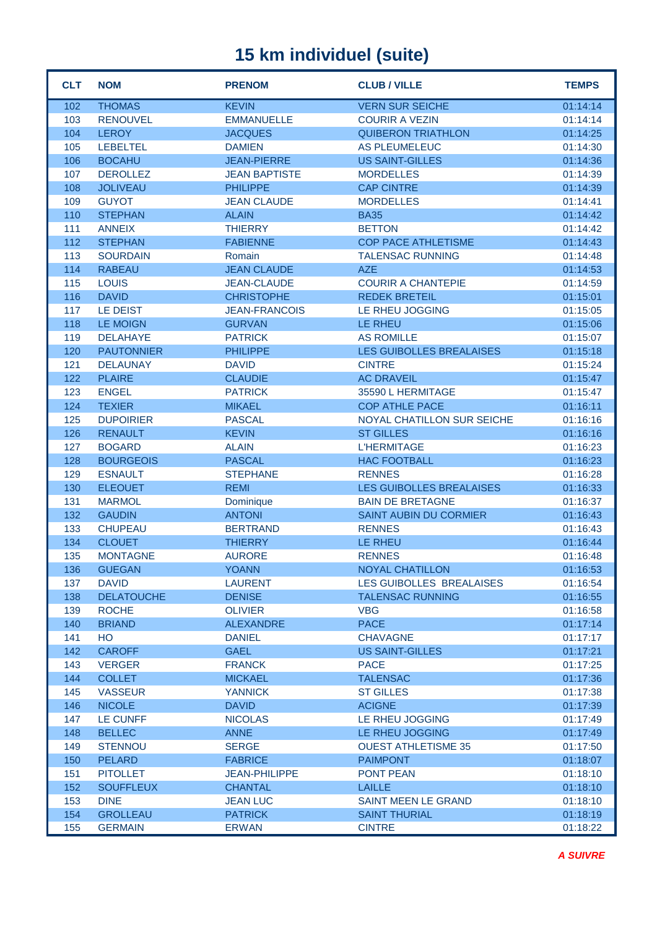| <b>CLT</b> | <b>NOM</b>        | <b>PRENOM</b>        | <b>CLUB / VILLE</b>           | <b>TEMPS</b> |
|------------|-------------------|----------------------|-------------------------------|--------------|
| 102        | <b>THOMAS</b>     | <b>KEVIN</b>         | <b>VERN SUR SEICHE</b>        | 01:14:14     |
| 103        | <b>RENOUVEL</b>   | <b>EMMANUELLE</b>    | <b>COURIR A VEZIN</b>         | 01:14:14     |
| 104        | <b>LEROY</b>      | <b>JACQUES</b>       | <b>QUIBERON TRIATHLON</b>     | 01:14:25     |
| 105        | <b>LEBELTEL</b>   | <b>DAMIEN</b>        | <b>AS PLEUMELEUC</b>          | 01:14:30     |
| 106        | <b>BOCAHU</b>     | <b>JEAN-PIERRE</b>   | <b>US SAINT-GILLES</b>        | 01:14:36     |
| 107        | <b>DEROLLEZ</b>   | <b>JEAN BAPTISTE</b> | <b>MORDELLES</b>              | 01:14:39     |
| 108        | <b>JOLIVEAU</b>   | <b>PHILIPPE</b>      | <b>CAP CINTRE</b>             | 01:14:39     |
| 109        | <b>GUYOT</b>      | <b>JEAN CLAUDE</b>   | <b>MORDELLES</b>              | 01:14:41     |
| 110        | <b>STEPHAN</b>    | <b>ALAIN</b>         | <b>BA35</b>                   | 01:14:42     |
| 111        | <b>ANNEIX</b>     | <b>THIERRY</b>       | <b>BETTON</b>                 | 01:14:42     |
| 112        | <b>STEPHAN</b>    | <b>FABIENNE</b>      | <b>COP PACE ATHLETISME</b>    | 01:14:43     |
| 113        | <b>SOURDAIN</b>   | Romain               | <b>TALENSAC RUNNING</b>       | 01:14:48     |
| 114        | <b>RABEAU</b>     | <b>JEAN CLAUDE</b>   | <b>AZE</b>                    | 01:14:53     |
| 115        | <b>LOUIS</b>      | <b>JEAN-CLAUDE</b>   | <b>COURIR A CHANTEPIE</b>     | 01:14:59     |
| 116        | <b>DAVID</b>      | <b>CHRISTOPHE</b>    | <b>REDEK BRETEIL</b>          | 01:15:01     |
| 117        | LE DEIST          | <b>JEAN-FRANCOIS</b> | LE RHEU JOGGING               | 01:15:05     |
| 118        | <b>LE MOIGN</b>   | <b>GURVAN</b>        | LE RHEU                       | 01:15:06     |
| 119        | <b>DELAHAYE</b>   | <b>PATRICK</b>       | <b>AS ROMILLE</b>             | 01:15:07     |
| 120        | <b>PAUTONNIER</b> | <b>PHILIPPE</b>      | LES GUIBOLLES BREALAISES      | 01:15:18     |
| 121        | <b>DELAUNAY</b>   | <b>DAVID</b>         | <b>CINTRE</b>                 | 01:15:24     |
| 122        | <b>PLAIRE</b>     | <b>CLAUDIE</b>       | <b>AC DRAVEIL</b>             | 01:15:47     |
| 123        | <b>ENGEL</b>      | <b>PATRICK</b>       | 35590 L HERMITAGE             | 01:15:47     |
| 124        | <b>TEXIER</b>     | <b>MIKAEL</b>        | <b>COP ATHLE PACE</b>         | 01:16:11     |
| 125        | <b>DUPOIRIER</b>  | <b>PASCAL</b>        | NOYAL CHATILLON SUR SEICHE    | 01:16:16     |
| 126        | <b>RENAULT</b>    | <b>KEVIN</b>         | <b>ST GILLES</b>              | 01:16:16     |
| 127        | <b>BOGARD</b>     | <b>ALAIN</b>         | <b>L'HERMITAGE</b>            | 01:16:23     |
| 128        | <b>BOURGEOIS</b>  | <b>PASCAL</b>        | <b>HAC FOOTBALL</b>           | 01:16:23     |
| 129        | <b>ESNAULT</b>    | <b>STEPHANE</b>      | <b>RENNES</b>                 | 01:16:28     |
| 130        | <b>ELEOUET</b>    | <b>REMI</b>          | LES GUIBOLLES BREALAISES      | 01:16:33     |
| 131        | <b>MARMOL</b>     | Dominique            | <b>BAIN DE BRETAGNE</b>       | 01:16:37     |
| 132        | <b>GAUDIN</b>     | <b>ANTONI</b>        | <b>SAINT AUBIN DU CORMIER</b> | 01:16:43     |
| 133        | <b>CHUPEAU</b>    | <b>BERTRAND</b>      | <b>RENNES</b>                 | 01:16:43     |
| 134        | <b>CLOUET</b>     | <b>THIERRY</b>       | <b>LE RHEU</b>                | 01:16:44     |
| 135        | <b>MONTAGNE</b>   | <b>AURORE</b>        | <b>RENNES</b>                 | 01:16:48     |
| 136        | <b>GUEGAN</b>     | <b>YOANN</b>         | <b>NOYAL CHATILLON</b>        | 01:16:53     |
| 137        | <b>DAVID</b>      | <b>LAURENT</b>       | LES GUIBOLLES BREALAISES      | 01:16:54     |
| 138        | <b>DELATOUCHE</b> | <b>DENISE</b>        | <b>TALENSAC RUNNING</b>       | 01:16:55     |
| 139        | <b>ROCHE</b>      | <b>OLIVIER</b>       | <b>VBG</b>                    | 01:16:58     |
| 140        | <b>BRIAND</b>     | <b>ALEXANDRE</b>     | <b>PACE</b>                   | 01:17:14     |
| 141        | HO                | <b>DANIEL</b>        | <b>CHAVAGNE</b>               | 01:17:17     |
| 142        | <b>CAROFF</b>     | <b>GAEL</b>          | <b>US SAINT-GILLES</b>        | 01:17:21     |
| 143        | <b>VERGER</b>     | <b>FRANCK</b>        | <b>PACE</b>                   | 01:17:25     |
| 144        | <b>COLLET</b>     | <b>MICKAEL</b>       | <b>TALENSAC</b>               | 01:17:36     |
| 145        | <b>VASSEUR</b>    | <b>YANNICK</b>       | <b>ST GILLES</b>              | 01:17:38     |
| 146        | <b>NICOLE</b>     | <b>DAVID</b>         | <b>ACIGNE</b>                 | 01:17:39     |
| 147        | LE CUNFF          | <b>NICOLAS</b>       | LE RHEU JOGGING               | 01:17:49     |
| 148        | <b>BELLEC</b>     | <b>ANNE</b>          | LE RHEU JOGGING               | 01:17:49     |
| 149        | <b>STENNOU</b>    | <b>SERGE</b>         | <b>OUEST ATHLETISME 35</b>    | 01:17:50     |
| 150        | <b>PELARD</b>     | <b>FABRICE</b>       | <b>PAIMPONT</b>               | 01:18:07     |
| 151        | <b>PITOLLET</b>   | <b>JEAN-PHILIPPE</b> | <b>PONT PEAN</b>              | 01:18:10     |
| 152        | <b>SOUFFLEUX</b>  | <b>CHANTAL</b>       | <b>LAILLE</b>                 | 01:18:10     |
| 153        | <b>DINE</b>       | <b>JEAN LUC</b>      | <b>SAINT MEEN LE GRAND</b>    | 01:18:10     |
| 154        | <b>GROLLEAU</b>   | <b>PATRICK</b>       | <b>SAINT THURIAL</b>          | 01:18:19     |
| 155        | <b>GERMAIN</b>    | <b>ERWAN</b>         | <b>CINTRE</b>                 | 01:18:22     |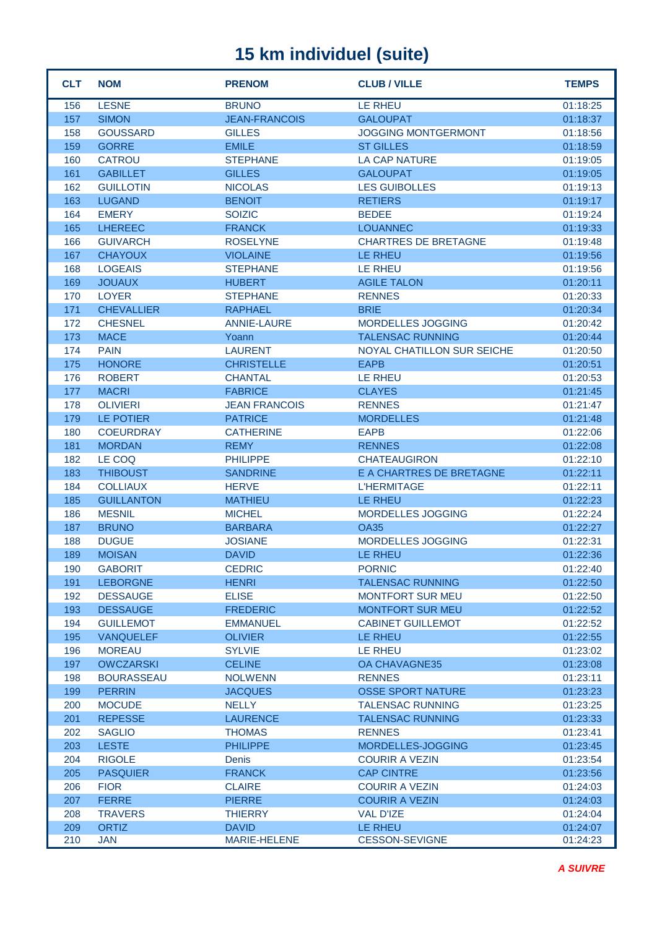| <b>CLT</b> | <b>NOM</b>                          | <b>PRENOM</b>                          | <b>CLUB / VILLE</b>               | <b>TEMPS</b>         |
|------------|-------------------------------------|----------------------------------------|-----------------------------------|----------------------|
| 156        | <b>LESNE</b>                        | <b>BRUNO</b>                           | LE RHEU                           | 01:18:25             |
| 157        | <b>SIMON</b>                        | <b>JEAN-FRANCOIS</b>                   | <b>GALOUPAT</b>                   | 01:18:37             |
| 158        | <b>GOUSSARD</b>                     | <b>GILLES</b>                          | <b>JOGGING MONTGERMONT</b>        | 01:18:56             |
| 159        | <b>GORRE</b>                        | <b>EMILE</b>                           | <b>ST GILLES</b>                  | 01:18:59             |
| 160        | <b>CATROU</b>                       | <b>STEPHANE</b>                        | <b>LA CAP NATURE</b>              | 01:19:05             |
| 161        | <b>GABILLET</b>                     | <b>GILLES</b>                          | <b>GALOUPAT</b>                   | 01:19:05             |
| 162        | <b>GUILLOTIN</b>                    | <b>NICOLAS</b>                         | <b>LES GUIBOLLES</b>              | 01:19:13             |
| 163        | <b>LUGAND</b>                       | <b>BENOIT</b>                          | <b>RETIERS</b>                    | 01:19:17             |
| 164        | <b>EMERY</b>                        | <b>SOIZIC</b>                          | <b>BEDEE</b>                      | 01:19:24             |
| 165        | <b>LHEREEC</b>                      | <b>FRANCK</b>                          | <b>LOUANNEC</b>                   | 01:19:33             |
| 166        | <b>GUIVARCH</b>                     | <b>ROSELYNE</b>                        | <b>CHARTRES DE BRETAGNE</b>       | 01:19:48             |
| 167        | <b>CHAYOUX</b>                      | <b>VIOLAINE</b>                        | <b>LE RHEU</b>                    | 01:19:56             |
| 168        | <b>LOGEAIS</b>                      | <b>STEPHANE</b>                        | <b>LE RHEU</b>                    | 01:19:56             |
| 169        | <b>JOUAUX</b>                       | <b>HUBERT</b>                          | <b>AGILE TALON</b>                | 01:20:11             |
| 170        | <b>LOYER</b>                        | <b>STEPHANE</b>                        | <b>RENNES</b>                     | 01:20:33             |
| 171        | <b>CHEVALLIER</b>                   | <b>RAPHAEL</b>                         | <b>BRIE</b>                       | 01:20:34             |
| 172        | <b>CHESNEL</b>                      | <b>ANNIE-LAURE</b>                     | MORDELLES JOGGING                 | 01:20:42             |
| 173        | <b>MACE</b>                         | Yoann                                  | <b>TALENSAC RUNNING</b>           | 01:20:44             |
| 174        | <b>PAIN</b>                         | <b>LAURENT</b>                         | NOYAL CHATILLON SUR SEICHE        | 01:20:50             |
| 175        | <b>HONORE</b>                       | <b>CHRISTELLE</b>                      | <b>EAPB</b>                       | 01:20:51             |
| 176        | <b>ROBERT</b>                       | <b>CHANTAL</b>                         | <b>LE RHEU</b>                    | 01:20:53             |
| 177        | <b>MACRI</b>                        | <b>FABRICE</b>                         | <b>CLAYES</b>                     | 01:21:45             |
| 178<br>179 | <b>OLIVIERI</b><br><b>LE POTIER</b> | <b>JEAN FRANCOIS</b><br><b>PATRICE</b> | <b>RENNES</b><br><b>MORDELLES</b> | 01:21:47<br>01:21:48 |
|            | <b>COEURDRAY</b>                    | <b>CATHERINE</b>                       | <b>EAPB</b>                       |                      |
| 180<br>181 | <b>MORDAN</b>                       | <b>REMY</b>                            | <b>RENNES</b>                     | 01:22:06<br>01:22:08 |
| 182        | LE COQ                              | <b>PHILIPPE</b>                        | <b>CHATEAUGIRON</b>               | 01:22:10             |
| 183        | <b>THIBOUST</b>                     | <b>SANDRINE</b>                        | E A CHARTRES DE BRETAGNE          | 01:22:11             |
| 184        | <b>COLLIAUX</b>                     | <b>HERVE</b>                           | <b>L'HERMITAGE</b>                | 01:22:11             |
| 185        | <b>GUILLANTON</b>                   | <b>MATHIEU</b>                         | <b>LE RHEU</b>                    | 01:22:23             |
| 186        | <b>MESNIL</b>                       | <b>MICHEL</b>                          | MORDELLES JOGGING                 | 01:22:24             |
| 187        | <b>BRUNO</b>                        | <b>BARBARA</b>                         | <b>OA35</b>                       | 01:22:27             |
| 188        | <b>DUGUE</b>                        | <b>JOSIANE</b>                         | MORDELLES JOGGING                 | 01:22:31             |
| 189        | <b>MOISAN</b>                       | <b>DAVID</b>                           | <b>LE RHEU</b>                    | 01:22:36             |
| 190        | <b>GABORIT</b>                      | <b>CEDRIC</b>                          | <b>PORNIC</b>                     | 01:22:40             |
| 191        | <b>LEBORGNE</b>                     | <b>HENRI</b>                           | <b>TALENSAC RUNNING</b>           | 01:22:50             |
| 192        | <b>DESSAUGE</b>                     | <b>ELISE</b>                           | <b>MONTFORT SUR MEU</b>           | 01:22:50             |
| 193        | <b>DESSAUGE</b>                     | <b>FREDERIC</b>                        | <b>MONTFORT SUR MEU</b>           | 01:22:52             |
| 194        | <b>GUILLEMOT</b>                    | <b>EMMANUEL</b>                        | <b>CABINET GUILLEMOT</b>          | 01:22:52             |
| 195        | <b>VANQUELEF</b>                    | <b>OLIVIER</b>                         | LE RHEU                           | 01:22:55             |
| 196        | <b>MOREAU</b>                       | <b>SYLVIE</b>                          | LE RHEU                           | 01:23:02             |
| 197        | <b>OWCZARSKI</b>                    | <b>CELINE</b>                          | OA CHAVAGNE35                     | 01:23:08             |
| 198        | <b>BOURASSEAU</b>                   | <b>NOLWENN</b>                         | <b>RENNES</b>                     | 01:23:11             |
| 199        | <b>PERRIN</b>                       | <b>JACQUES</b>                         | <b>OSSE SPORT NATURE</b>          | 01:23:23             |
| 200        | <b>MOCUDE</b>                       | <b>NELLY</b>                           | <b>TALENSAC RUNNING</b>           | 01:23:25             |
| 201        | <b>REPESSE</b>                      | <b>LAURENCE</b>                        | <b>TALENSAC RUNNING</b>           | 01:23:33             |
| 202        | <b>SAGLIO</b>                       | <b>THOMAS</b>                          | <b>RENNES</b>                     | 01:23:41             |
| 203        | <b>LESTE</b>                        | <b>PHILIPPE</b>                        | MORDELLES-JOGGING                 | 01:23:45             |
| 204        | <b>RIGOLE</b>                       | <b>Denis</b>                           | <b>COURIR A VEZIN</b>             | 01:23:54             |
| 205        | <b>PASQUIER</b>                     | <b>FRANCK</b>                          | <b>CAP CINTRE</b>                 | 01:23:56             |
| 206        | <b>FIOR</b>                         | <b>CLAIRE</b>                          | <b>COURIR A VEZIN</b>             | 01:24:03             |
| 207        | <b>FERRE</b>                        | <b>PIERRE</b>                          | <b>COURIR A VEZIN</b>             | 01:24:03             |
| 208        | <b>TRAVERS</b>                      | <b>THIERRY</b>                         | <b>VAL D'IZE</b>                  | 01:24:04             |
| 209        | <b>ORTIZ</b>                        | <b>DAVID</b>                           | LE RHEU                           | 01:24:07             |
| 210        | <b>JAN</b>                          | MARIE-HELENE                           | <b>CESSON-SEVIGNE</b>             | 01:24:23             |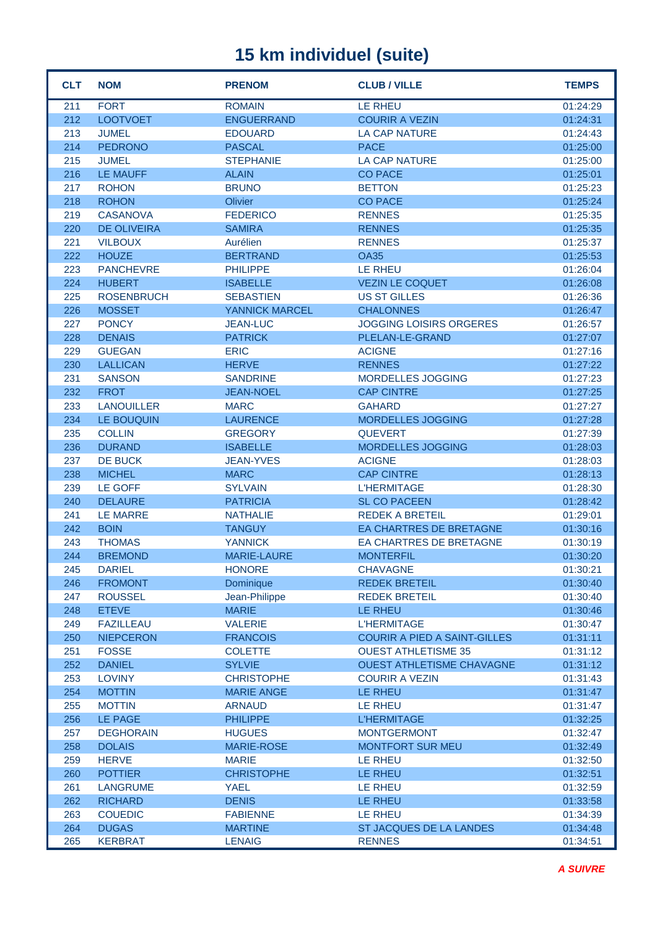| <b>CLT</b> | <b>NOM</b>         | <b>PRENOM</b>      | <b>CLUB / VILLE</b>                 | <b>TEMPS</b> |
|------------|--------------------|--------------------|-------------------------------------|--------------|
| 211        | <b>FORT</b>        | <b>ROMAIN</b>      | <b>LE RHEU</b>                      | 01:24:29     |
| 212        | <b>LOOTVOET</b>    | <b>ENGUERRAND</b>  | <b>COURIR A VEZIN</b>               | 01:24:31     |
| 213        | <b>JUMEL</b>       | <b>EDOUARD</b>     | <b>LA CAP NATURE</b>                | 01:24:43     |
| 214        | <b>PEDRONO</b>     | <b>PASCAL</b>      | <b>PACE</b>                         | 01:25:00     |
| 215        | <b>JUMEL</b>       | <b>STEPHANIE</b>   | <b>LA CAP NATURE</b>                | 01:25:00     |
| 216        | <b>LE MAUFF</b>    | <b>ALAIN</b>       | <b>CO PACE</b>                      | 01:25:01     |
| 217        | <b>ROHON</b>       | <b>BRUNO</b>       | <b>BETTON</b>                       | 01:25:23     |
| 218        | <b>ROHON</b>       | Olivier            | <b>CO PACE</b>                      | 01:25:24     |
| 219        | <b>CASANOVA</b>    | <b>FEDERICO</b>    | <b>RENNES</b>                       | 01:25:35     |
| 220        | <b>DE OLIVEIRA</b> | <b>SAMIRA</b>      | <b>RENNES</b>                       | 01:25:35     |
| 221        | <b>VILBOUX</b>     | Aurélien           | <b>RENNES</b>                       | 01:25:37     |
| 222        | <b>HOUZE</b>       | <b>BERTRAND</b>    | <b>OA35</b>                         | 01:25:53     |
| 223        | <b>PANCHEVRE</b>   | <b>PHILIPPE</b>    | LE RHEU                             | 01:26:04     |
| 224        | <b>HUBERT</b>      | <b>ISABELLE</b>    | <b>VEZIN LE COQUET</b>              | 01:26:08     |
| 225        | <b>ROSENBRUCH</b>  | <b>SEBASTIEN</b>   | <b>US ST GILLES</b>                 | 01:26:36     |
| 226        | <b>MOSSET</b>      | YANNICK MARCEL     | <b>CHALONNES</b>                    | 01:26:47     |
| 227        | <b>PONCY</b>       | <b>JEAN-LUC</b>    | <b>JOGGING LOISIRS ORGERES</b>      | 01:26:57     |
| 228        | <b>DENAIS</b>      | <b>PATRICK</b>     | PLELAN-LE-GRAND                     | 01:27:07     |
| 229        | <b>GUEGAN</b>      | <b>ERIC</b>        | <b>ACIGNE</b>                       | 01:27:16     |
| 230        | <b>LALLICAN</b>    | <b>HERVE</b>       | <b>RENNES</b>                       | 01:27:22     |
| 231        | <b>SANSON</b>      | <b>SANDRINE</b>    | <b>MORDELLES JOGGING</b>            | 01:27:23     |
| 232        | <b>FROT</b>        | <b>JEAN-NOEL</b>   | <b>CAP CINTRE</b>                   | 01:27:25     |
| 233        | <b>LANOUILLER</b>  | <b>MARC</b>        | <b>GAHARD</b>                       | 01:27:27     |
| 234        | LE BOUQUIN         | <b>LAURENCE</b>    | <b>MORDELLES JOGGING</b>            | 01:27:28     |
| 235        | <b>COLLIN</b>      | <b>GREGORY</b>     | <b>QUEVERT</b>                      | 01:27:39     |
| 236        | <b>DURAND</b>      | <b>ISABELLE</b>    | <b>MORDELLES JOGGING</b>            | 01:28:03     |
| 237        | DE BUCK            | <b>JEAN-YVES</b>   | <b>ACIGNE</b>                       | 01:28:03     |
| 238        | <b>MICHEL</b>      | <b>MARC</b>        | <b>CAP CINTRE</b>                   | 01:28:13     |
| 239        | <b>LE GOFF</b>     | <b>SYLVAIN</b>     | <b>L'HERMITAGE</b>                  | 01:28:30     |
| 240        | <b>DELAURE</b>     | <b>PATRICIA</b>    | <b>SL CO PACEEN</b>                 | 01:28:42     |
| 241        | <b>LE MARRE</b>    | <b>NATHALIE</b>    | <b>REDEK A BRETEIL</b>              | 01:29:01     |
| 242        | <b>BOIN</b>        | <b>TANGUY</b>      | <b>EA CHARTRES DE BRETAGNE</b>      | 01:30:16     |
| 243        | <b>THOMAS</b>      | <b>YANNICK</b>     | EA CHARTRES DE BRETAGNE             | 01:30:19     |
| 244        | <b>BREMOND</b>     | <b>MARIE-LAURE</b> | <b>MONTERFIL</b>                    | 01:30:20     |
| 245        | <b>DARIEL</b>      | <b>HONORE</b>      | <b>CHAVAGNE</b>                     | 01:30:21     |
| 246        | <b>FROMONT</b>     | Dominique          | <b>REDEK BRETEIL</b>                | 01:30:40     |
| 247        | <b>ROUSSEL</b>     | Jean-Philippe      | <b>REDEK BRETEIL</b>                | 01:30:40     |
| 248        | <b>ETEVE</b>       | <b>MARIE</b>       | LE RHEU                             | 01:30:46     |
| 249        | <b>FAZILLEAU</b>   | <b>VALERIE</b>     | <b>L'HERMITAGE</b>                  | 01:30:47     |
| 250        | <b>NIEPCERON</b>   | <b>FRANCOIS</b>    | <b>COURIR A PIED A SAINT-GILLES</b> | 01:31:11     |
| 251        | <b>FOSSE</b>       | <b>COLETTE</b>     | <b>OUEST ATHLETISME 35</b>          | 01:31:12     |
| 252        | <b>DANIEL</b>      | <b>SYLVIE</b>      | <b>OUEST ATHLETISME CHAVAGNE</b>    | 01:31:12     |
| 253        | <b>LOVINY</b>      | <b>CHRISTOPHE</b>  | <b>COURIR A VEZIN</b>               | 01:31:43     |
| 254        | <b>MOTTIN</b>      | <b>MARIE ANGE</b>  | LE RHEU                             | 01:31:47     |
| 255        | <b>MOTTIN</b>      | <b>ARNAUD</b>      | <b>LE RHEU</b>                      | 01:31:47     |
| 256        | LE PAGE            | <b>PHILIPPE</b>    | <b>L'HERMITAGE</b>                  | 01:32:25     |
| 257        | <b>DEGHORAIN</b>   | <b>HUGUES</b>      | <b>MONTGERMONT</b>                  | 01:32:47     |
| 258        | <b>DOLAIS</b>      | <b>MARIE-ROSE</b>  | <b>MONTFORT SUR MEU</b>             | 01:32:49     |
| 259        | <b>HERVE</b>       | <b>MARIE</b>       | LE RHEU                             | 01:32:50     |
| 260        | <b>POTTIER</b>     | <b>CHRISTOPHE</b>  | LE RHEU                             | 01:32:51     |
| 261        | <b>LANGRUME</b>    | <b>YAEL</b>        | LE RHEU                             | 01:32:59     |
| 262        | <b>RICHARD</b>     | <b>DENIS</b>       | LE RHEU                             | 01:33:58     |
| 263        | <b>COUEDIC</b>     | <b>FABIENNE</b>    | LE RHEU                             | 01:34:39     |
| 264        | <b>DUGAS</b>       | <b>MARTINE</b>     | ST JACQUES DE LA LANDES             | 01:34:48     |
| 265        | <b>KERBRAT</b>     | <b>LENAIG</b>      | <b>RENNES</b>                       | 01:34:51     |